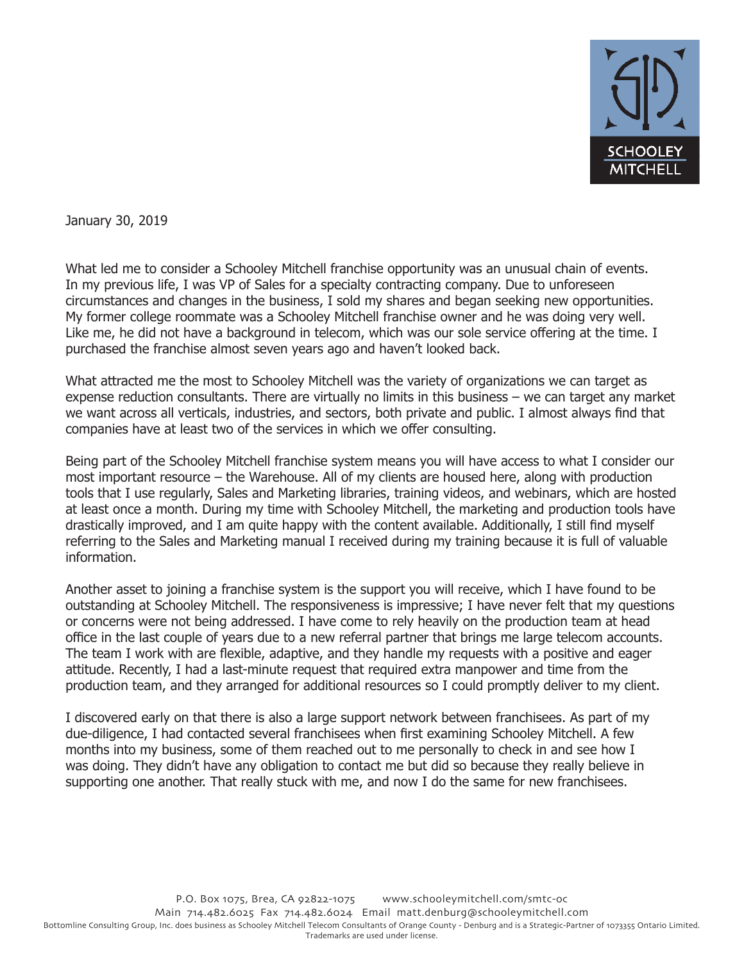

January 30, 2019

What led me to consider a Schooley Mitchell franchise opportunity was an unusual chain of events. In my previous life, I was VP of Sales for a specialty contracting company. Due to unforeseen circumstances and changes in the business, I sold my shares and began seeking new opportunities. My former college roommate was a Schooley Mitchell franchise owner and he was doing very well. Like me, he did not have a background in telecom, which was our sole service offering at the time. I purchased the franchise almost seven years ago and haven't looked back.

What attracted me the most to Schooley Mitchell was the variety of organizations we can target as expense reduction consultants. There are virtually no limits in this business – we can target any market we want across all verticals, industries, and sectors, both private and public. I almost always find that companies have at least two of the services in which we offer consulting.

Being part of the Schooley Mitchell franchise system means you will have access to what I consider our most important resource – the Warehouse. All of my clients are housed here, along with production tools that I use regularly, Sales and Marketing libraries, training videos, and webinars, which are hosted at least once a month. During my time with Schooley Mitchell, the marketing and production tools have drastically improved, and I am quite happy with the content available. Additionally, I still find myself referring to the Sales and Marketing manual I received during my training because it is full of valuable information.

Another asset to joining a franchise system is the support you will receive, which I have found to be outstanding at Schooley Mitchell. The responsiveness is impressive; I have never felt that my questions or concerns were not being addressed. I have come to rely heavily on the production team at head office in the last couple of years due to a new referral partner that brings me large telecom accounts. The team I work with are flexible, adaptive, and they handle my requests with a positive and eager attitude. Recently, I had a last-minute request that required extra manpower and time from the production team, and they arranged for additional resources so I could promptly deliver to my client.

I discovered early on that there is also a large support network between franchisees. As part of my due-diligence, I had contacted several franchisees when first examining Schooley Mitchell. A few months into my business, some of them reached out to me personally to check in and see how I was doing. They didn't have any obligation to contact me but did so because they really believe in supporting one another. That really stuck with me, and now I do the same for new franchisees.